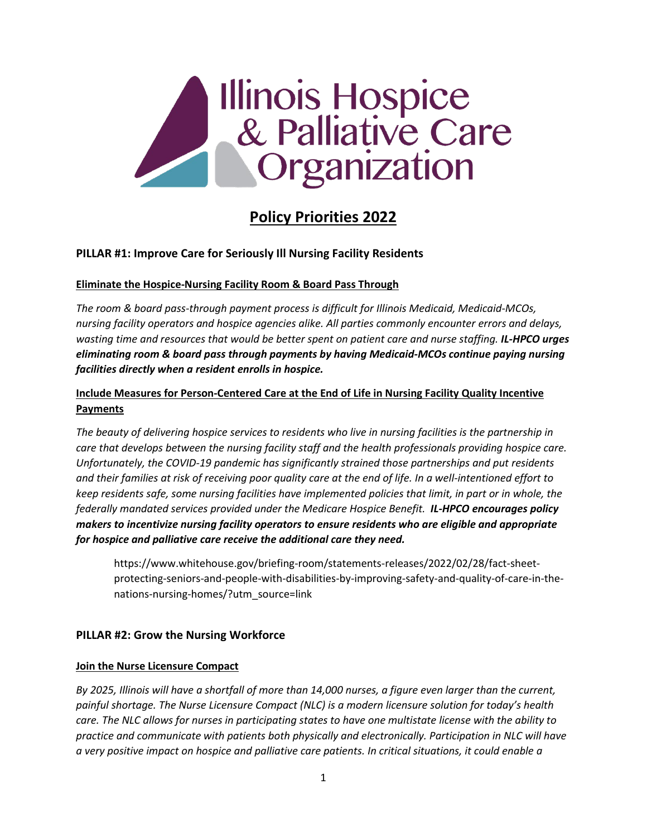

# **Policy Priorities 2022**

## **PILLAR #1: Improve Care for Seriously Ill Nursing Facility Residents**

#### **Eliminate the Hospice-Nursing Facility Room & Board Pass Through**

*The room & board pass-through payment process is difficult for Illinois Medicaid, Medicaid-MCOs, nursing facility operators and hospice agencies alike. All parties commonly encounter errors and delays, wasting time and resources that would be better spent on patient care and nurse staffing. IL-HPCO urges eliminating room & board pass through payments by having Medicaid-MCOs continue paying nursing facilities directly when a resident enrolls in hospice.* 

## **Include Measures for Person-Centered Care at the End of Life in Nursing Facility Quality Incentive Payments**

*The beauty of delivering hospice services to residents who live in nursing facilities is the partnership in care that develops between the nursing facility staff and the health professionals providing hospice care. Unfortunately, the COVID-19 pandemic has significantly strained those partnerships and put residents and their families at risk of receiving poor quality care at the end of life. In a well-intentioned effort to keep residents safe, some nursing facilities have implemented policies that limit, in part or in whole, the federally mandated services provided under the Medicare Hospice Benefit. IL-HPCO encourages policy makers to incentivize nursing facility operators to ensure residents who are eligible and appropriate for hospice and palliative care receive the additional care they need.*

https://www.whitehouse.gov/briefing-room/statements-releases/2022/02/28/fact-sheetprotecting-seniors-and-people-with-disabilities-by-improving-safety-and-quality-of-care-in-thenations-nursing-homes/?utm\_source=link

## **PILLAR #2: Grow the Nursing Workforce**

#### **Join the Nurse Licensure Compact**

*By 2025, Illinois will have a shortfall of more than 14,000 nurses, a figure even larger than the current, painful shortage. The Nurse Licensure Compact (NLC) is a modern licensure solution for today's health care. The NLC allows for nurses in participating states to have one multistate license with the ability to practice and communicate with patients both physically and electronically. Participation in NLC will have a very positive impact on hospice and palliative care patients. In critical situations, it could enable a*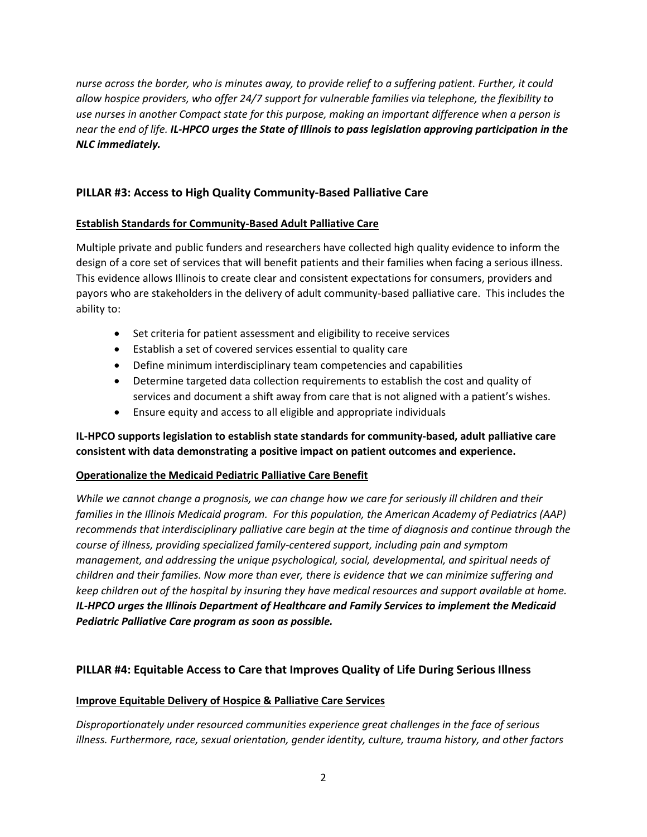*nurse across the border, who is minutes away, to provide relief to a suffering patient. Further, it could allow hospice providers, who offer 24/7 support for vulnerable families via telephone, the flexibility to use nurses in another Compact state for this purpose, making an important difference when a person is near the end of life. IL-HPCO urges the State of Illinois to pass legislation approving participation in the NLC immediately.*

# **PILLAR #3: Access to High Quality Community-Based Palliative Care**

## **Establish Standards for Community-Based Adult Palliative Care**

Multiple private and public funders and researchers have collected high quality evidence to inform the design of a core set of services that will benefit patients and their families when facing a serious illness. This evidence allows Illinois to create clear and consistent expectations for consumers, providers and payors who are stakeholders in the delivery of adult community-based palliative care. This includes the ability to:

- Set criteria for patient assessment and eligibility to receive services
- Establish a set of covered services essential to quality care
- Define minimum interdisciplinary team competencies and capabilities
- Determine targeted data collection requirements to establish the cost and quality of services and document a shift away from care that is not aligned with a patient's wishes.
- Ensure equity and access to all eligible and appropriate individuals

## **IL-HPCO supports legislation to establish state standards for community-based, adult palliative care consistent with data demonstrating a positive impact on patient outcomes and experience.**

## **Operationalize the Medicaid Pediatric Palliative Care Benefit**

*While we cannot change a prognosis, we can change how we care for seriously ill children and their families in the Illinois Medicaid program. For this population, the American Academy of Pediatrics (AAP) recommends that interdisciplinary palliative care begin at the time of diagnosis and continue through the course of illness, providing specialized family-centered support, including pain and symptom management, and addressing the unique psychological, social, developmental, and spiritual needs of children and their families. Now more than ever, there is evidence that we can minimize suffering and keep children out of the hospital by insuring they have medical resources and support available at home. IL-HPCO urges the Illinois Department of Healthcare and Family Services to implement the Medicaid Pediatric Palliative Care program as soon as possible.*

## **PILLAR #4: Equitable Access to Care that Improves Quality of Life During Serious Illness**

## **Improve Equitable Delivery of Hospice & Palliative Care Services**

*Disproportionately under resourced communities experience great challenges in the face of serious illness. Furthermore, race, sexual orientation, gender identity, culture, trauma history, and other factors*